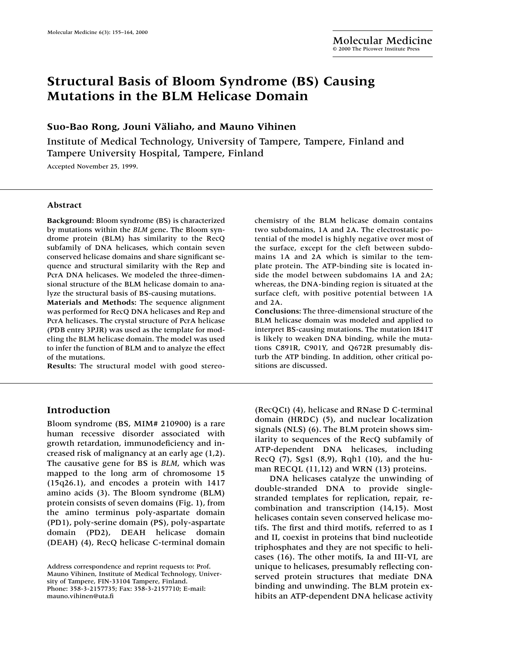# **Structural Basis of Bloom Syndrome (BS) Causing Mutations in the BLM Helicase Domain**

# **Suo-Bao Rong, Jouni Väliaho, and Mauno Vihinen**

Institute of Medical Technology, University of Tampere, Tampere, Finland and Tampere University Hospital, Tampere, Finland

Accepted November 25, 1999.

## **Abstract**

**Background:** Bloom syndrome (BS) is characterized by mutations within the *BLM* gene. The Bloom syndrome protein (BLM) has similarity to the RecQ subfamily of DNA helicases, which contain seven conserved helicase domains and share significant sequence and structural similarity with the Rep and PcrA DNA helicases. We modeled the three-dimensional structure of the BLM helicase domain to analyze the structural basis of BS-causing mutations.

**Materials and Methods:** The sequence alignment was performed for RecQ DNA helicases and Rep and PcrA helicases. The crystal structure of PcrA helicase (PDB entry 3PJR) was used as the template for modeling the BLM helicase domain. The model was used to infer the function of BLM and to analyze the effect of the mutations.

**Results:** The structural model with good stereo-

# **Introduction**

Bloom syndrome (BS, MIM# 210900) is a rare human recessive disorder associated with growth retardation, immunodeficiency and increased risk of malignancy at an early age (1,2). The causative gene for BS is *BLM*, which was mapped to the long arm of chromosome 15 (15q26.1), and encodes a protein with 1417 amino acids (3). The Bloom syndrome (BLM) protein consists of seven domains (Fig. 1), from the amino terminus poly-aspartate domain (PD1), poly-serine domain (PS), poly-aspartate domain (PD2), DEAH helicase domain (DEAH) (4), RecQ helicase C-terminal domain

chemistry of the BLM helicase domain contains two subdomains, 1A and 2A. The electrostatic potential of the model is highly negative over most of the surface, except for the cleft between subdomains 1A and 2A which is similar to the template protein. The ATP-binding site is located inside the model between subdomains 1A and 2A; whereas, the DNA-binding region is situated at the surface cleft, with positive potential between 1A and 2A.

**Conclusions:** The three-dimensional structure of the BLM helicase domain was modeled and applied to interpret BS-causing mutations. The mutation I841T is likely to weaken DNA binding, while the mutations C891R, C901Y, and Q672R presumably disturb the ATP binding. In addition, other critical positions are discussed.

(RecQCt) (4), helicase and RNase D C-terminal domain (HRDC) (5), and nuclear localization signals (NLS) (6). The BLM protein shows similarity to sequences of the RecQ subfamily of ATP-dependent DNA helicases, including RecQ (7), Sgs1 (8,9), Rqh1 (10), and the human RECQL (11,12) and WRN (13) proteins.

DNA helicases catalyze the unwinding of double-stranded DNA to provide singlestranded templates for replication, repair, recombination and transcription (14,15). Most helicases contain seven conserved helicase motifs. The first and third motifs, referred to as I and II, coexist in proteins that bind nucleotide triphosphates and they are not specific to helicases (16). The other motifs, Ia and III-VI, are unique to helicases, presumably reflecting conserved protein structures that mediate DNA binding and unwinding. The BLM protein exhibits an ATP-dependent DNA helicase activity

Address correspondence and reprint requests to: Prof. Mauno Vihinen, Institute of Medical Technology, University of Tampere, FIN-33104 Tampere, Finland. Phone: 358-3-2157735; Fax: 358-3-2157710; E-mail: mauno.vihinen@uta.fi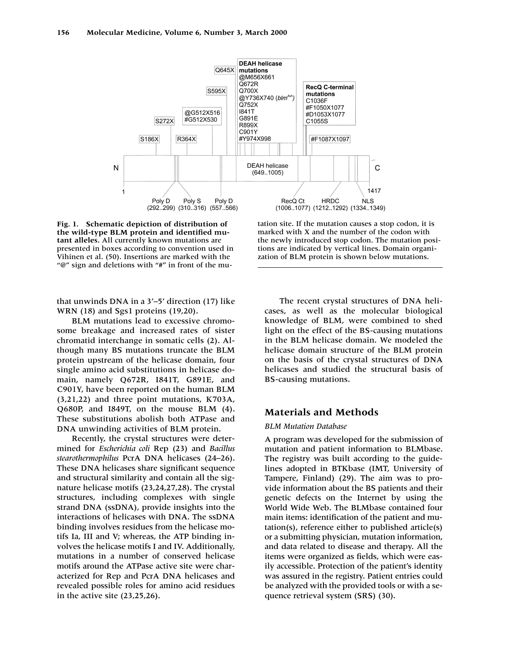

**Fig. 1. Schematic depiction of distribution of the wild-type BLM protein and identified mutant alleles.** All currently known mutations are presented in boxes according to convention used in Vihinen et al. (50). Insertions are marked with the "@" sign and deletions with "#" in front of the mu-

that unwinds DNA in a 3'–5' direction (17) like WRN (18) and Sgs1 proteins (19,20).

BLM mutations lead to excessive chromosome breakage and increased rates of sister chromatid interchange in somatic cells (2). Although many BS mutations truncate the BLM protein upstream of the helicase domain, four single amino acid substitutions in helicase domain, namely Q672R, I841T, G891E, and C901Y, have been reported on the human BLM (3,21,22) and three point mutations, K703A, Q680P, and I849T, on the mouse BLM (4). These substitutions abolish both ATPase and DNA unwinding activities of BLM protein.

Recently, the crystal structures were determined for *Escherichia coli* Rep (23) and *Bacillus stearothermophilus* PcrA DNA helicases (24–26). These DNA helicases share significant sequence and structural similarity and contain all the signature helicase motifs (23,24,27,28). The crystal structures, including complexes with single strand DNA (ssDNA), provide insights into the interactions of helicases with DNA. The ssDNA binding involves residues from the helicase motifs Ia, III and V; whereas, the ATP binding involves the helicase motifs I and IV. Additionally, mutations in a number of conserved helicase motifs around the ATPase active site were characterized for Rep and PcrA DNA helicases and revealed possible roles for amino acid residues in the active site (23,25,26).

tation site. If the mutation causes a stop codon, it is marked with X and the number of the codon with the newly introduced stop codon. The mutation positions are indicated by vertical lines. Domain organization of BLM protein is shown below mutations.

The recent crystal structures of DNA helicases, as well as the molecular biological knowledge of BLM, were combined to shed light on the effect of the BS-causing mutations in the BLM helicase domain. We modeled the helicase domain structure of the BLM protein on the basis of the crystal structures of DNA helicases and studied the structural basis of BS-causing mutations.

# **Materials and Methods**

#### *BLM Mutation Database*

A program was developed for the submission of mutation and patient information to BLMbase. The registry was built according to the guidelines adopted in BTKbase (IMT, University of Tampere, Finland) (29). The aim was to provide information about the BS patients and their genetic defects on the Internet by using the World Wide Web. The BLMbase contained four main items: identification of the patient and mutation(s), reference either to published article(s) or a submitting physician, mutation information, and data related to disease and therapy. All the items were organized as fields, which were easily accessible. Protection of the patient's identity was assured in the registry. Patient entries could be analyzed with the provided tools or with a sequence retrieval system (SRS) (30).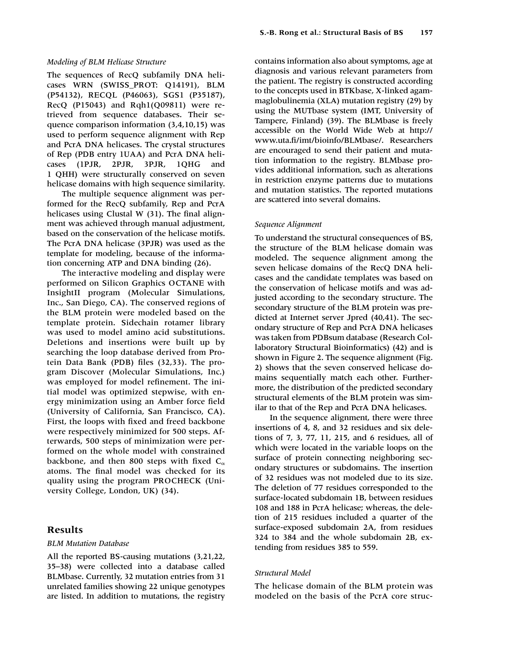The sequences of RecQ subfamily DNA helicases WRN (SWISS\_PROT: Q14191), BLM (P54132), RECQL (P46063), SGS1 (P35187), RecQ (P15043) and Rqh1(Q09811) were retrieved from sequence databases. Their sequence comparison information (3,4,10,15) was used to perform sequence alignment with Rep and PcrA DNA helicases. The crystal structures of Rep (PDB entry 1UAA) and PcrA DNA helicases (1PJR, 2PJR, 3PJR, 1QHG and 1 QHH) were structurally conserved on seven helicase domains with high sequence similarity.

The multiple sequence alignment was performed for the RecQ subfamily, Rep and PcrA helicases using Clustal W (31). The final alignment was achieved through manual adjustment, based on the conservation of the helicase motifs. The PcrA DNA helicase (3PJR) was used as the template for modeling, because of the information concerning ATP and DNA binding (26).

The interactive modeling and display were performed on Silicon Graphics OCTANE with InsightII program (Molecular Simulations, Inc., San Diego, CA). The conserved regions of the BLM protein were modeled based on the template protein. Sidechain rotamer library was used to model amino acid substitutions. Deletions and insertions were built up by searching the loop database derived from Protein Data Bank (PDB) files (32,33). The program Discover (Molecular Simulations, Inc.) was employed for model refinement. The initial model was optimized stepwise, with energy minimization using an Amber force field (University of California, San Francisco, CA). First, the loops with fixed and freed backbone were respectively minimized for 500 steps. Afterwards, 500 steps of minimization were performed on the whole model with constrained backbone, and then 800 steps with fixed  $C_{\alpha}$ atoms. The final model was checked for its quality using the program PROCHECK (University College, London, UK) (34).

## **Results**

#### *BLM Mutation Database*

All the reported BS-causing mutations (3,21,22, 35–38) were collected into a database called BLMbase. Currently, 32 mutation entries from 31 unrelated families showing 22 unique genotypes are listed. In addition to mutations, the registry contains information also about symptoms, age at diagnosis and various relevant parameters from the patient. The registry is constructed according to the concepts used in BTKbase, X-linked agammaglobulinemia (XLA) mutation registry (29) by using the MUTbase system (IMT, University of Tampere, Finland) (39). The BLMbase is freely accessible on the World Wide Web at http:// www.uta.fi/imt/bioinfo/BLMbase/. Researchers are encouraged to send their patient and mutation information to the registry. BLMbase provides additional information, such as alterations in restriction enzyme patterns due to mutations and mutation statistics. The reported mutations are scattered into several domains.

## *Sequence Alignment*

To understand the structural consequences of BS, the structure of the BLM helicase domain was modeled. The sequence alignment among the seven helicase domains of the RecQ DNA helicases and the candidate templates was based on the conservation of helicase motifs and was adjusted according to the secondary structure. The secondary structure of the BLM protein was predicted at Internet server Jpred (40,41). The secondary structure of Rep and PcrA DNA helicases was taken from PDBsum database (Research Collaboratory Structural Bioinformatics) (42) and is shown in Figure 2. The sequence alignment (Fig. 2) shows that the seven conserved helicase domains sequentially match each other. Furthermore, the distribution of the predicted secondary structural elements of the BLM protein was similar to that of the Rep and PcrA DNA helicases.

In the sequence alignment, there were three insertions of 4, 8, and 32 residues and six deletions of 7, 3, 77, 11, 215, and 6 residues, all of which were located in the variable loops on the surface of protein connecting neighboring secondary structures or subdomains. The insertion of 32 residues was not modeled due to its size. The deletion of 77 residues corresponded to the surface-located subdomain 1B, between residues 108 and 188 in PcrA helicase; whereas, the deletion of 215 residues included a quarter of the surface-exposed subdomain 2A, from residues 324 to 384 and the whole subdomain 2B, extending from residues 385 to 559.

## *Structural Model*

The helicase domain of the BLM protein was modeled on the basis of the PcrA core struc-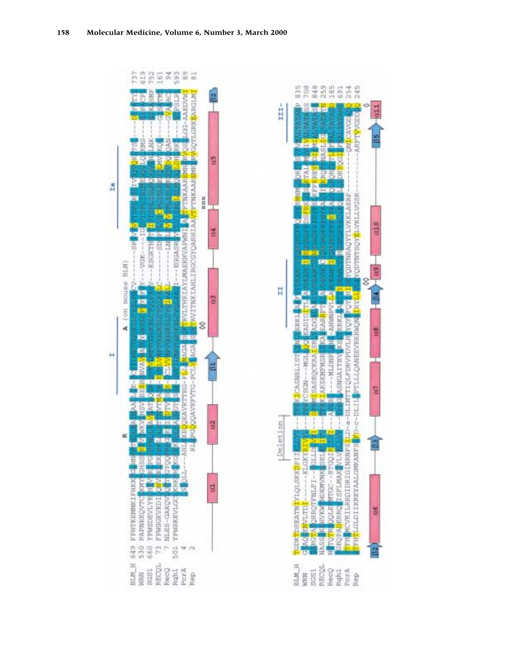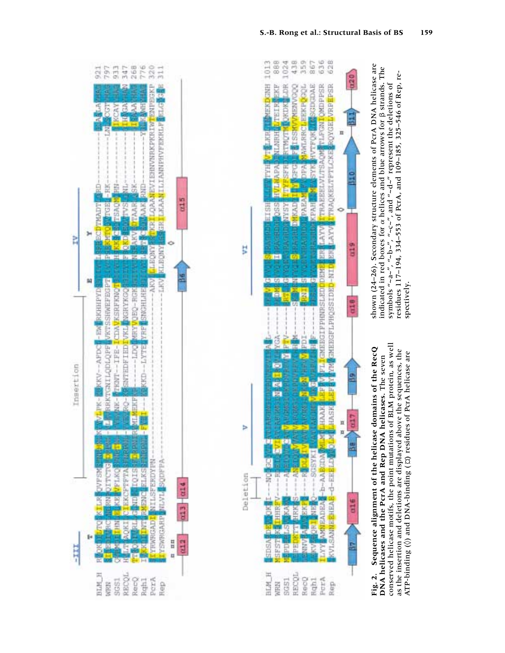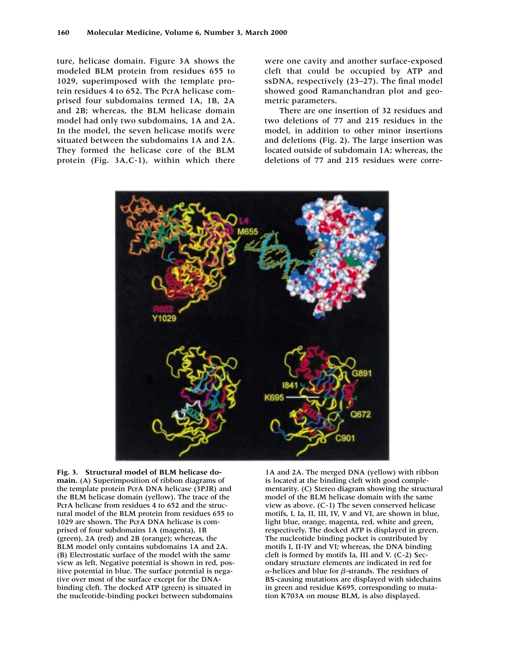ture, helicase domain. Figure 3A shows the modeled BLM protein from residues 655 to 1029, superimposed with the template protein residues 4 to 652. The PcrA helicase comprised four subdomains termed 1A, 1B, 2A and 2B; whereas, the BLM helicase domain model had only two subdomains, 1A and 2A. In the model, the seven helicase motifs were situated between the subdomains 1A and 2A. They formed the helicase core of the BLM protein (Fig. 3A,C-1), within which there

were one cavity and another surface-exposed cleft that could be occupied by ATP and ssDNA, respectively (23–27). The final model showed good Ramanchandran plot and geometric parameters.

There are one insertion of 32 residues and two deletions of 77 and 215 residues in the model, in addition to other minor insertions and deletions (Fig. 2). The large insertion was located outside of subdomain 1A; whereas, the deletions of 77 and 215 residues were corre-



**Fig. 3. Structural model of BLM helicase domain.** (A) Superimposition of ribbon diagrams of the template protein PcrA DNA helicase (3PJR) and the BLM helicase domain (yellow). The trace of the PcrA helicase from residues 4 to 652 and the structural model of the BLM protein from residues 655 to 1029 are shown. The PcrA DNA helicase is comprised of four subdomains 1A (magenta), 1B (green), 2A (red) and 2B (orange); whereas, the BLM model only contains subdomains 1A and 2A. (B) Electrostatic surface of the model with the same view as left. Negative potential is shown in red, positive potential in blue. The surface potential is negative over most of the surface except for the DNAbinding cleft. The docked ATP (green) is situated in the nucleotide-binding pocket between subdomains

1A and 2A. The merged DNA (yellow) with ribbon is located at the binding cleft with good complementarity. (C) Stereo diagram showing the structural model of the BLM helicase domain with the same view as above. (C-1) The seven conserved helicase motifs, I, Ia, II, III, IV, V and VI, are shown in blue, light blue, orange, magenta, red, white and green, respectively. The docked ATP is displayed in green. The nucleotide binding pocket is contributed by motifs I, II-IV and VI; whereas, the DNA binding cleft is formed by motifs Ia, III and V. (C-2) Secondary structure elements are indicated in red for  $\alpha$ -helices and blue for  $\beta$ -strands. The residues of BS-causing mutations are displayed with sidechains in green and residue K695, corresponding to mutation K703A on mouse BLM, is also displayed.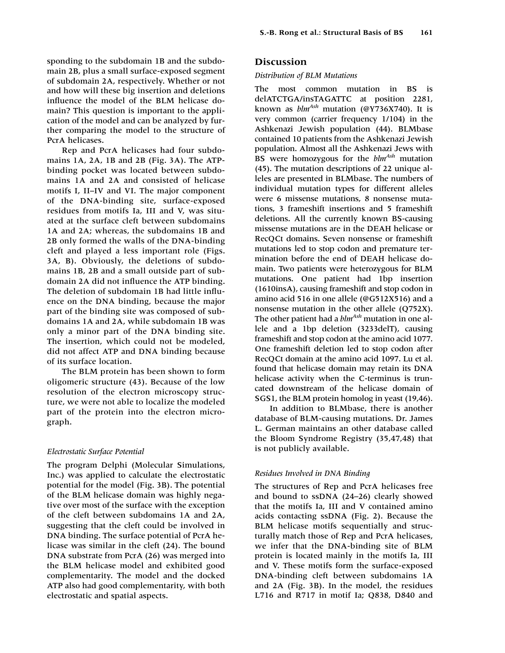sponding to the subdomain 1B and the subdomain 2B, plus a small surface-exposed segment of subdomain 2A, respectively. Whether or not and how will these big insertion and deletions influence the model of the BLM helicase domain? This question is important to the application of the model and can be analyzed by further comparing the model to the structure of PcrA helicases.

Rep and PcrA helicases had four subdomains 1A, 2A, 1B and 2B (Fig. 3A). The ATPbinding pocket was located between subdomains 1A and 2A and consisted of helicase motifs I, II–IV and VI. The major component of the DNA-binding site, surface-exposed residues from motifs Ia, III and V, was situated at the surface cleft between subdomains 1A and 2A; whereas, the subdomains 1B and 2B only formed the walls of the DNA-binding cleft and played a less important role (Figs. 3A, B). Obviously, the deletions of subdomains 1B, 2B and a small outside part of subdomain 2A did not influence the ATP binding. The deletion of subdomain 1B had little influence on the DNA binding, because the major part of the binding site was composed of subdomains 1A and 2A, while subdomain 1B was only a minor part of the DNA binding site. The insertion, which could not be modeled, did not affect ATP and DNA binding because of its surface location.

The BLM protein has been shown to form oligomeric structure (43). Because of the low resolution of the electron microscopy structure, we were not able to localize the modeled part of the protein into the electron micrograph.

### *Electrostatic Surface Potential*

The program Delphi (Molecular Simulations, Inc.) was applied to calculate the electrostatic potential for the model (Fig. 3B). The potential of the BLM helicase domain was highly negative over most of the surface with the exception of the cleft between subdomains 1A and 2A, suggesting that the cleft could be involved in DNA binding. The surface potential of PcrA helicase was similar in the cleft (24). The bound DNA substrate from PcrA (26) was merged into the BLM helicase model and exhibited good complementarity. The model and the docked ATP also had good complementarity, with both electrostatic and spatial aspects.

## **Discussion**

#### *Distribution of BLM Mutations*

The most common mutation in BS is delATCTGA/insTAGATTC at position 2281, known as  $blm<sup>Ash</sup>$  mutation (@Y736X740). It is very common (carrier frequency 1/104) in the Ashkenazi Jewish population (44). BLMbase contained 10 patients from the Ashkenazi Jewish population. Almost all the Ashkenazi Jews with BS were homozygous for the  $blm<sup>Ash</sup>$  mutation (45). The mutation descriptions of 22 unique alleles are presented in BLMbase. The numbers of individual mutation types for different alleles were 6 missense mutations, 8 nonsense mutations, 3 frameshift insertions and 5 frameshift deletions. All the currently known BS-causing missense mutations are in the DEAH helicase or RecQCt domains. Seven nonsense or frameshift mutations led to stop codon and premature termination before the end of DEAH helicase domain. Two patients were heterozygous for BLM mutations. One patient had 1bp insertion (1610insA), causing frameshift and stop codon in amino acid 516 in one allele (@G512X516) and a nonsense mutation in the other allele (Q752X). The other patient had a  $blm<sup>Ash</sup>$  mutation in one allele and a 1bp deletion (3233delT), causing frameshift and stop codon at the amino acid 1077. One frameshift deletion led to stop codon after RecQCt domain at the amino acid 1097. Lu et al. found that helicase domain may retain its DNA helicase activity when the C-terminus is truncated downstream of the helicase domain of SGS1, the BLM protein homolog in yeast (19,46).

In addition to BLMbase, there is another database of BLM-causing mutations. Dr. James L. German maintains an other database called the Bloom Syndrome Registry (35,47,48) that is not publicly available.

### *Residues Involved in DNA Binding*

The structures of Rep and PcrA helicases free and bound to ssDNA (24–26) clearly showed that the motifs Ia, III and V contained amino acids contacting ssDNA (Fig. 2). Because the BLM helicase motifs sequentially and structurally match those of Rep and PcrA helicases, we infer that the DNA-binding site of BLM protein is located mainly in the motifs Ia, III and V. These motifs form the surface-exposed DNA-binding cleft between subdomains 1A and 2A (Fig. 3B). In the model, the residues L716 and R717 in motif Ia; Q838, D840 and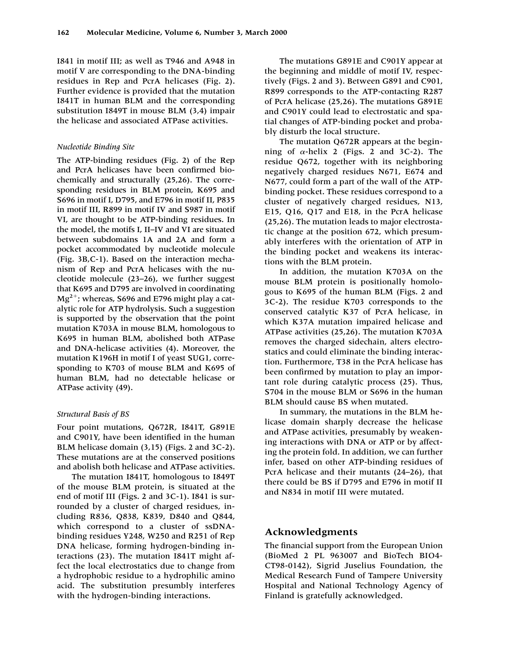I841 in motif III; as well as T946 and A948 in motif V are corresponding to the DNA-binding residues in Rep and PcrA helicases (Fig. 2). Further evidence is provided that the mutation I841T in human BLM and the corresponding substitution I849T in mouse BLM (3,4) impair the helicase and associated ATPase activities.

## *Nucleotide Binding Site*

The ATP-binding residues (Fig. 2) of the Rep and PcrA helicases have been confirmed biochemically and structurally (25,26). The corresponding residues in BLM protein, K695 and S696 in motif I, D795, and E796 in motif II, P835 in motif III, R899 in motif IV and S987 in motif VI, are thought to be ATP-binding residues. In the model, the motifs I, II–IV and VI are situated between subdomains 1A and 2A and form a pocket accommodated by nucleotide molecule (Fig. 3B,C-1). Based on the interaction mechanism of Rep and PcrA helicases with the nucleotide molecule (23–26), we further suggest that K695 and D795 are involved in coordinating  $Mg^{2+}$ ; whereas, S696 and E796 might play a catalytic role for ATP hydrolysis. Such a suggestion is supported by the observation that the point mutation K703A in mouse BLM, homologous to K695 in human BLM, abolished both ATPase and DNA-helicase activities (4). Moreover, the mutation K196H in motif I of yeast SUG1, corresponding to K703 of mouse BLM and K695 of human BLM, had no detectable helicase or ATPase activity (49).

### *Structural Basis of BS*

Four point mutations, Q672R, I841T, G891E and C901Y, have been identified in the human BLM helicase domain (3,15) (Figs. 2 and 3C-2). These mutations are at the conserved positions and abolish both helicase and ATPase activities.

The mutation I841T, homologous to I849T of the mouse BLM protein, is situated at the end of motif III (Figs. 2 and 3C-1). I841 is surrounded by a cluster of charged residues, including R836, Q838, K839, D840 and Q844, which correspond to a cluster of ssDNAbinding residues Y248, W250 and R251 of Rep DNA helicase, forming hydrogen-binding interactions (23). The mutation I841T might affect the local electrostatics due to change from a hydrophobic residue to a hydrophilic amino acid. The substitution presumbly interferes with the hydrogen-binding interactions.

The mutations G891E and C901Y appear at the beginning and middle of motif IV, respectively (Figs. 2 and 3). Between G891 and C901, R899 corresponds to the ATP-contacting R287 of PcrA helicase (25,26). The mutations G891E and C901Y could lead to electrostatic and spatial changes of ATP-binding pocket and probably disturb the local structure.

The mutation Q672R appears at the beginning of  $\alpha$ -helix 2 (Figs. 2 and 3C-2). The residue Q672, together with its neighboring negatively charged residues N671, E674 and N677, could form a part of the wall of the ATPbinding pocket. These residues correspond to a cluster of negatively charged residues, N13, E15, Q16, Q17 and E18, in the PcrA helicase (25,26). The mutation leads to major electrostatic change at the position 672, which presumably interferes with the orientation of ATP in the binding pocket and weakens its interactions with the BLM protein.

In addition, the mutation K703A on the mouse BLM protein is positionally homologous to K695 of the human BLM (Figs. 2 and 3C-2). The residue K703 corresponds to the conserved catalytic K37 of PcrA helicase, in which K37A mutation impaired helicase and ATPase activities (25,26). The mutation K703A removes the charged sidechain, alters electrostatics and could eliminate the binding interaction. Furthermore, T38 in the PcrA helicase has been confirmed by mutation to play an important role during catalytic process (25). Thus, S704 in the mouse BLM or S696 in the human BLM should cause BS when mutated.

In summary, the mutations in the BLM helicase domain sharply decrease the helicase and ATPase activities, presumably by weakening interactions with DNA or ATP or by affecting the protein fold. In addition, we can further infer, based on other ATP-binding residues of PcrA helicase and their mutants (24–26), that there could be BS if D795 and E796 in motif II and N834 in motif III were mutated.

## **Acknowledgments**

The financial support from the European Union (BioMed 2 PL 963007 and BioTech BIO4- CT98-0142), Sigrid Juselius Foundation, the Medical Research Fund of Tampere University Hospital and National Technology Agency of Finland is gratefully acknowledged.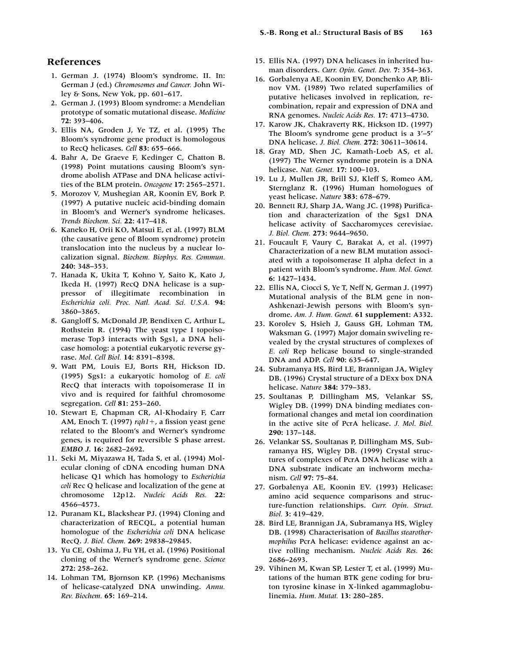## **References**

- 1. German J. (1974) Bloom's syndrome. II. In: German J (ed.) *Chromosomes and Cancer.* John Wiley & Sons, New Yok, pp. 601–617.
- 2. German J. (1993) Bloom syndrome: a Mendelian prototype of somatic mutational disease. *Medicine* **72:** 393–406.
- 3. Ellis NA, Groden J, Ye TZ, et al. (1995) The Bloom's syndrome gene product is homologous to RecQ helicases. *Cell* **83:** 655–666.
- 4. Bahr A, De Graeve F, Kedinger C, Chatton B. (1998) Point mutations causing Bloom's syndrome abolish ATPase and DNA helicase activities of the BLM protein. *Oncogene* **17:** 2565–2571.
- 5. Morozov V, Mushegian AR, Koonin EV, Bork P. (1997) A putative nucleic acid-binding domain in Bloom's and Werner's syndrome helicases. *Trends Biochem. Sci.* **22:** 417–418.
- 6. Kaneko H, Orii KO, Matsui E, et al. (1997) BLM (the causative gene of Bloom syndrome) protein translocation into the nucleus by a nuclear localization signal. *Biochem. Biophys. Res. Commun.* **240:** 348–353.
- 7. Hanada K, Ukita T, Kohno Y, Saito K, Kato J, Ikeda H. (1997) RecQ DNA helicase is a suppressor of illegitimate recombination in *Escherichia coli. Proc. Natl. Acad. Sci. U.S.A.* **94:** 3860–3865.
- 8. Gangloff S, McDonald JP, Bendixen C, Arthur L, Rothstein R. (1994) The yeast type I topoisomerase Top3 interacts with Sgs1, a DNA helicase homolog: a potential eukaryotic reverse gyrase. *Mol. Cell Biol.* **14:** 8391–8398.
- 9. Watt PM, Louis EJ, Borts RH, Hickson ID. (1995) Sgs1: a eukaryotic homolog of *E. coli* RecQ that interacts with topoisomerase II in vivo and is required for faithful chromosome segregation. *Cell* **81:** 253–260.
- 10. Stewart E, Chapman CR, Al-Khodairy F, Carr AM, Enoch T. (1997) *rqh1*+, a fission yeast gene related to the Bloom's and Werner's syndrome genes, is required for reversible S phase arrest. *EMBO J*. **16:** 2682–2692.
- 11. Seki M, Miyazawa H, Tada S, et al. (1994) Molecular cloning of cDNA encoding human DNA helicase Q1 which has homology to *Escherichia coli* Rec Q helicase and localization of the gene at chromosome 12p12. *Nucleic Acids Res.* **22:** 4566–4573.
- 12. Puranam KL, Blackshear PJ. (1994) Cloning and characterization of RECQL, a potential human homologue of the *Escherichia coli* DNA helicase RecQ. *J. Biol. Chem.* **269:** 29838–29845.
- 13. Yu CE, Oshima J, Fu YH, et al. (1996) Positional cloning of the Werner's syndrome gene. *Science* **272:** 258–262.
- 14. Lohman TM, Bjornson KP. (1996) Mechanisms of helicase-catalyzed DNA unwinding. *Annu. Rev. Biochem.* **65:** 169–214.
- 15. Ellis NA. (1997) DNA helicases in inherited human disorders. *Curr. Opin. Genet. Dev.* **7:** 354–363.
- 16. Gorbalenya AE, Koonin EV, Donchenko AP, Blinov VM. (1989) Two related superfamilies of putative helicases involved in replication, recombination, repair and expression of DNA and RNA genomes. *Nucleic Acids Res.* **17:** 4713–4730.
- 17. Karow JK, Chakraverty RK, Hickson ID. (1997) The Bloom's syndrome gene product is a 3'–5' DNA helicase. *J. Biol. Chem.* **272:** 30611–30614.
- 18. Gray MD, Shen JC, Kamath-Loeb AS, et al. (1997) The Werner syndrome protein is a DNA helicase. *Nat. Genet.* **17:** 100–103.
- 19. Lu J, Mullen JR, Brill SJ, Kleff S, Romeo AM, Sternglanz R. (1996) Human homologues of yeast helicase. *Nature* **383:** 678–679.
- 20. Bennett RJ, Sharp JA, Wang JC. (1998) Purification and characterization of the Sgs1 DNA helicase activity of Saccharomyces cerevisiae. *J. Biol. Chem.* **273:** 9644–9650.
- 21. Foucault F, Vaury C, Barakat A, et al. (1997) Characterization of a new BLM mutation associated with a topoisomerase II alpha defect in a patient with Bloom's syndrome. *Hum. Mol. Genet.* **6:** 1427–1434.
- 22. Ellis NA, Ciocci S, Ye T, Neff N, German J. (1997) Mutational analysis of the BLM gene in non-Ashkenazi-Jewish persons with Bloom's syndrome. *Am. J. Hum. Genet.* **61 supplement:** A332.
- 23. Korolev S, Hsieh J, Gauss GH, Lohman TM, Waksman G. (1997) Major domain swiveling revealed by the crystal structures of complexes of *E. coli* Rep helicase bound to single-stranded DNA and ADP. *Cell* **90:** 635–647.
- 24. Subramanya HS, Bird LE, Brannigan JA, Wigley DB. (1996) Crystal structure of a DExx box DNA helicase. *Nature* **384:** 379–383.
- 25. Soultanas P, Dillingham MS, Velankar SS, Wigley DB. (1999) DNA binding mediates conformational changes and metal ion coordination in the active site of PcrA helicase. *J. Mol. Biol.* **290:** 137–148.
- 26. Velankar SS, Soultanas P, Dillingham MS, Subramanya HS, Wigley DB. (1999) Crystal structures of complexes of PcrA DNA helicase with a DNA substrate indicate an inchworm mechanism. *Cell* **97:** 75–84.
- 27. Gorbalenya AE, Koonin EV. (1993) Helicase: amino acid sequence comparisons and structure-function relationships. *Curr. Opin. Struct. Biol.* **3:** 419–429.
- 28. Bird LE, Brannigan JA, Subramanya HS, Wigley DB. (1998) Characterisation of *Bacillus stearothermophilus* PcrA helicase: evidence against an active rolling mechanism. *Nucleic Acids Res.* **26:** 2686–2693.
- 29. Vihinen M, Kwan SP, Lester T, et al. (1999) Mutations of the human BTK gene coding for bruton tyrosine kinase in X-linked agammaglobulinemia. *Hum. Mutat.* **13:** 280–285.